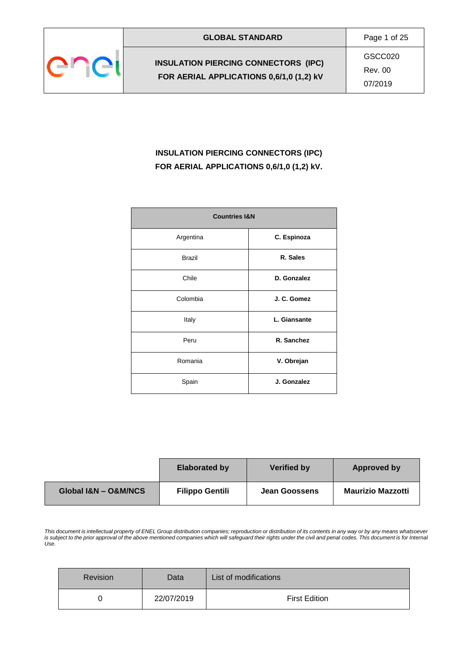

GSCC020 Rev. 00

07/2019

# **INSULATION PIERCING CONNECTORS (IPC) FOR AERIAL APPLICATIONS 0,6/1,0 (1,2) kV.**

| <b>Countries I&amp;N</b> |              |  |
|--------------------------|--------------|--|
| Argentina                | C. Espinoza  |  |
| <b>Brazil</b>            | R. Sales     |  |
| Chile                    | D. Gonzalez  |  |
| Colombia                 | J. C. Gomez  |  |
| Italy                    | L. Giansante |  |
| Peru                     | R. Sanchez   |  |
| Romania                  | V. Obrejan   |  |
| Spain                    | J. Gonzalez  |  |

|                      | <b>Elaborated by</b>   | <b>Verified by</b>   | Approved by              |
|----------------------|------------------------|----------------------|--------------------------|
| Global I&N - O&M/NCS | <b>Filippo Gentili</b> | <b>Jean Goossens</b> | <b>Maurizio Mazzotti</b> |

*This document is intellectual property of ENEL Group distribution companies; reproduction or distribution of its contents in any way or by any means whatsoever is subject to the prior approval of the above mentioned companies which will safeguard their rights under the civil and penal codes. This document is for Internal Use.*

| <b>Revision</b> | Data       | List of modifications |
|-----------------|------------|-----------------------|
|                 | 22/07/2019 | <b>First Edition</b>  |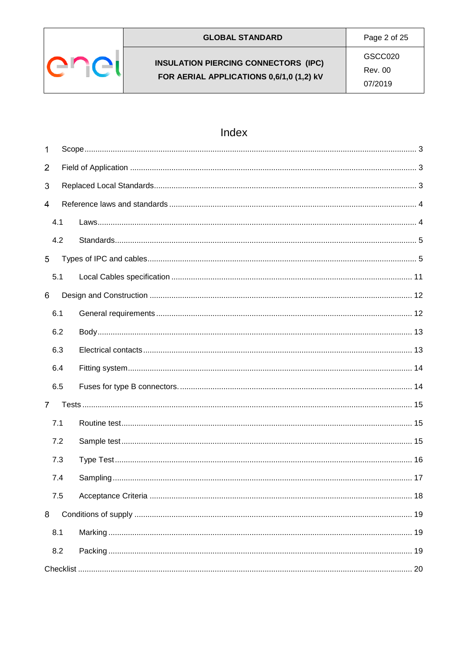

# Index

| $\mathbf{1}$   |     |  |    |  |
|----------------|-----|--|----|--|
| $\overline{2}$ |     |  |    |  |
| 3              |     |  |    |  |
| 4              |     |  |    |  |
|                | 4.1 |  |    |  |
|                | 4.2 |  |    |  |
| 5              |     |  |    |  |
|                | 5.1 |  |    |  |
| 6              |     |  |    |  |
|                | 6.1 |  |    |  |
|                | 6.2 |  |    |  |
|                | 6.3 |  |    |  |
|                | 6.4 |  |    |  |
|                | 6.5 |  |    |  |
| $\overline{7}$ |     |  |    |  |
|                | 7.1 |  |    |  |
|                | 7.2 |  |    |  |
|                | 7.3 |  |    |  |
|                | 7.4 |  |    |  |
|                | 7.5 |  | 18 |  |
| 8              |     |  |    |  |
|                | 8.1 |  |    |  |
|                | 8.2 |  |    |  |
|                |     |  |    |  |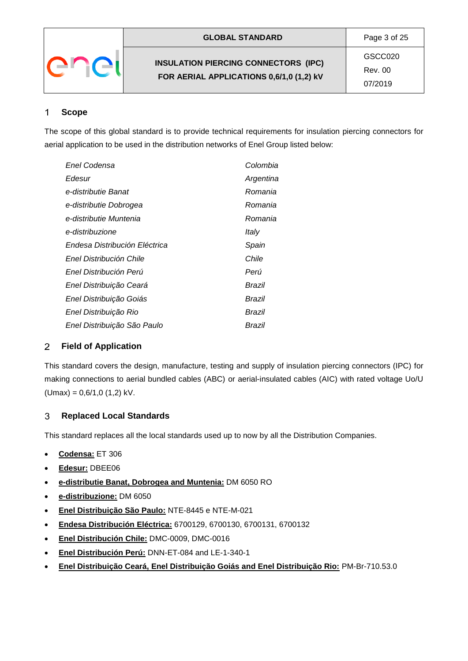| <b>GLOBAL STANDARD</b>                                                                  | Page 3 of 25                  |
|-----------------------------------------------------------------------------------------|-------------------------------|
| <b>INSULATION PIERCING CONNECTORS (IPC)</b><br>FOR AERIAL APPLICATIONS 0,6/1,0 (1,2) kV | GSCC020<br>Rev. 00<br>07/2019 |

#### <span id="page-2-0"></span>1 **Scope**

The scope of this global standard is to provide technical requirements for insulation piercing connectors for aerial application to be used in the distribution networks of Enel Group listed below:

| Enel Codensa                  | Colombia  |
|-------------------------------|-----------|
| Edesur                        | Argentina |
| e-distributie Banat           | Romania   |
| e-distributie Dobrogea        | Romania   |
| e-distributie Muntenia        | Romania   |
| e-distribuzione               | Italv     |
| Endesa Distribución Eléctrica | Spain     |
| Enel Distribución Chile       | Chile     |
| Enel Distribución Perú        | Perú      |
| Enel Distribuição Ceará       | Brazil    |
| Enel Distribuição Goiás       | Brazil    |
| Enel Distribuição Rio         | Brazil    |
| Enel Distribuição São Paulo   | Brazil    |

#### <span id="page-2-1"></span> $\overline{2}$ **Field of Application**

This standard covers the design, manufacture, testing and supply of insulation piercing connectors (IPC) for making connections to aerial bundled cables (ABC) or aerial-insulated cables (AIC) with rated voltage Uo/U  $(Umax) = 0.6/1.0$  (1.2) kV.

#### <span id="page-2-2"></span>3 **Replaced Local Standards**

This standard replaces all the local standards used up to now by all the Distribution Companies.

- **Codensa:** ET 306
- **Edesur:** DBEE06
- **e-distributie Banat, Dobrogea and Muntenia:** DM 6050 RO
- **e-distribuzione:** DM 6050
- **Enel Distribuição São Paulo:** NTE-8445 e NTE-M-021
- **Endesa Distribución Eléctrica:** 6700129, 6700130, 6700131, 6700132
- **Enel Distribución Chile:** DMC-0009, DMC-0016
- **Enel Distribución Perú:** DNN-ET-084 and LE-1-340-1
- **Enel Distribuição Ceará, Enel Distribuição Goiás and Enel Distribuição Rio:** PM-Br-710.53.0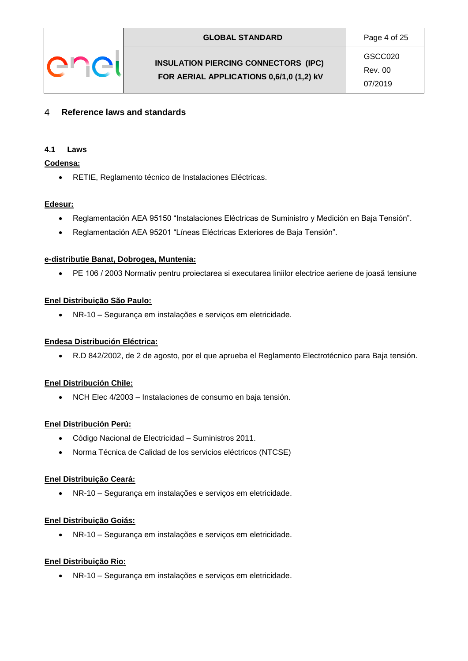

GSCC020 Rev. 00 07/2019

#### <span id="page-3-0"></span>4 **Reference laws and standards**

### <span id="page-3-1"></span>**4.1 Laws**

### **Codensa:**

RETIE, Reglamento técnico de Instalaciones Eléctricas.

## **Edesur:**

- Reglamentación AEA 95150 "Instalaciones Eléctricas de Suministro y Medición en Baja Tensión".
- Reglamentación AEA 95201 "Líneas Eléctricas Exteriores de Baja Tensión".

### **e-distributie Banat, Dobrogea, Muntenia:**

PE 106 / 2003 Normativ pentru proiectarea si executarea liniilor electrice aeriene de joasă tensiune

## **Enel Distribuição São Paulo:**

NR-10 – Segurança em instalações e serviços em eletricidade.

## **Endesa Distribución Eléctrica:**

R.D 842/2002, de 2 de agosto, por el que aprueba el Reglamento Electrotécnico para Baja tensión.

## **Enel Distribución Chile:**

NCH Elec 4/2003 – Instalaciones de consumo en baja tensión.

## **Enel Distribución Perú:**

- Código Nacional de Electricidad Suministros 2011.
- Norma Técnica de Calidad de los servicios eléctricos (NTCSE)

### **Enel Distribuição Ceará:**

NR-10 – Segurança em instalações e serviços em eletricidade.

### **Enel Distribuição Goiás:**

NR-10 – Segurança em instalações e serviços em eletricidade.

## **Enel Distribuição Rio:**

NR-10 – Segurança em instalações e serviços em eletricidade.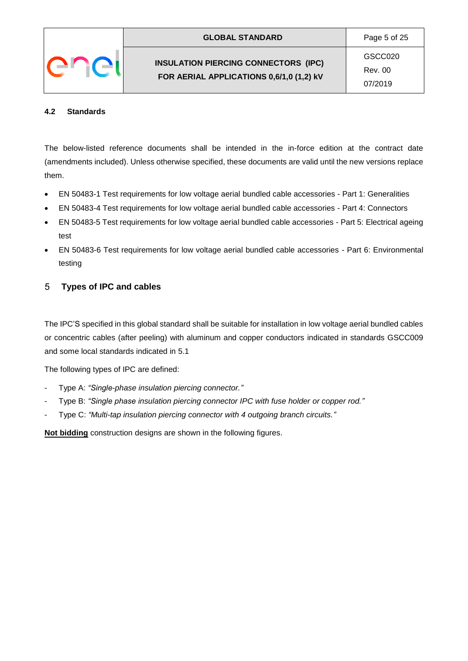**FOR AERIAL APPLICATIONS 0,6/1,0 (1,2) kV**

GSCC020 Rev. 00 07/2019

# <span id="page-4-0"></span>**4.2 Standards**

The below-listed reference documents shall be intended in the in-force edition at the contract date (amendments included). Unless otherwise specified, these documents are valid until the new versions replace them.

- EN 50483-1 Test requirements for low voltage aerial bundled cable accessories Part 1: Generalities
- EN 50483-4 Test requirements for low voltage aerial bundled cable accessories Part 4: Connectors
- EN 50483-5 Test requirements for low voltage aerial bundled cable accessories Part 5: Electrical ageing test
- EN 50483-6 Test requirements for low voltage aerial bundled cable accessories Part 6: Environmental testing

#### <span id="page-4-1"></span>5 **Types of IPC and cables**

The IPC'S specified in this global standard shall be suitable for installation in low voltage aerial bundled cables or concentric cables (after peeling) with aluminum and copper conductors indicated in standards GSCC009 and some local standards indicated in 5.1

The following types of IPC are defined:

- Type A: *"Single-phase insulation piercing connector."*
- Type B: *"Single phase insulation piercing connector IPC with fuse holder or copper rod."*
- Type C: *"Multi-tap insulation piercing connector with 4 outgoing branch circuits."*

**Not bidding** construction designs are shown in the following figures.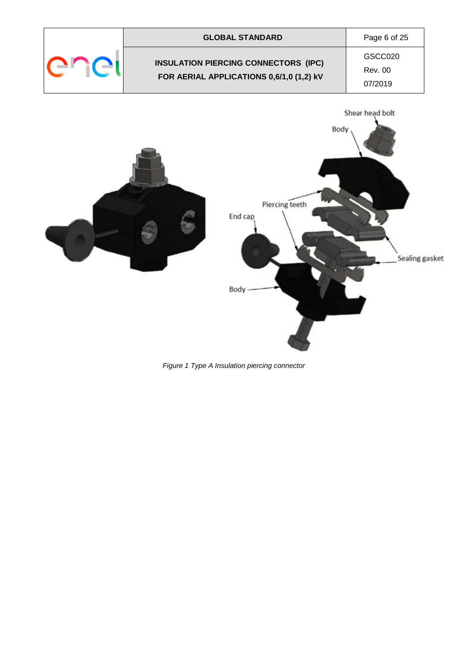

*Figure 1 Type A Insulation piercing connector*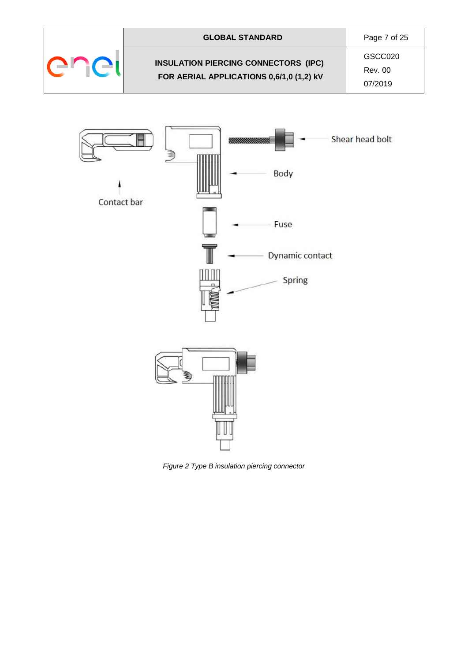



*Figure 2 Type B insulation piercing connector*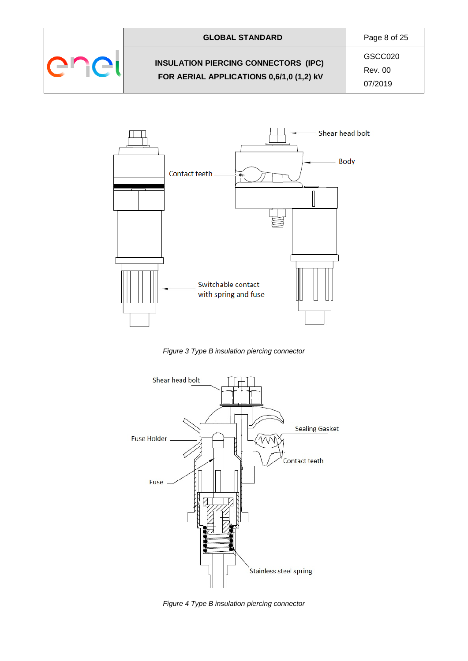

# **GLOBAL STANDARD** Page 8 of 25 **INSULATION PIERCING CONNECTORS (IPC) FOR AERIAL APPLICATIONS 0,6/1,0 (1,2) kV**

GSCC020 Rev. 00



*Figure 3 Type B insulation piercing connector*



*Figure 4 Type B insulation piercing connector*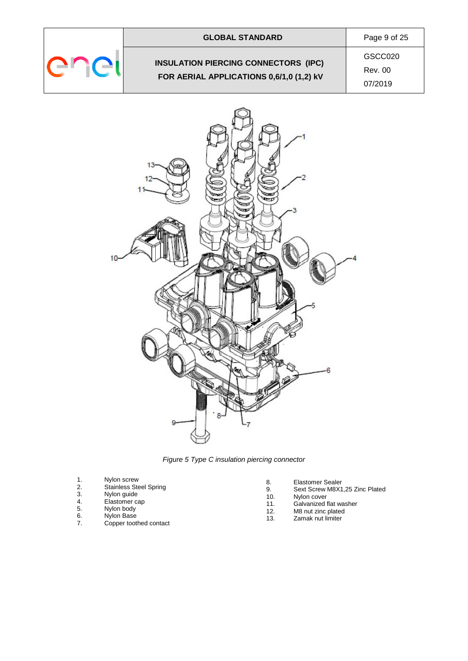

# **INSULATION PIERCING CONNECTORS (IPC) FOR AERIAL APPLICATIONS 0,6/1,0 (1,2) kV**

**GLOBAL STANDARD** Page 9 of 25 GSCC020

Rev. 00



*Figure 5 Type C insulation piercing connector*

- 1. Nylon screw<br>
2. Stainless Ste<br>
3. Nylon guide<br>
4. Elastomer ca<br>
5. Nylon body
- Stainless Steel Spring
- 3. Nylon guide
- 4. Elastomer cap
- Nylon Base
- 5. Nylon body<br>6. Nylon Base<br>7. Copper toot Copper toothed contact
- 8. Elastomer Sealer
- 9. Sext Screw M8X1,25 Zinc Plated
- 10. Nylon cover
- 11. Galvanized flat washer<br>12. M8 nut zinc plated
- 12. M8 nut zinc plated<br>13. Zamak nut limiter
	- Zamak nut limiter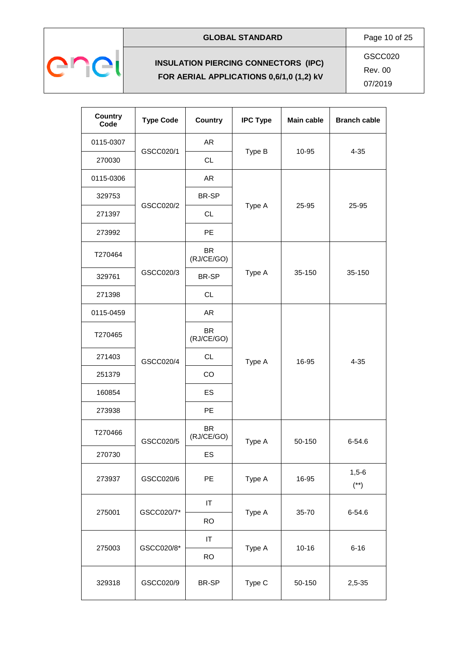

# **GLOBAL STANDARD** Page 10 of 25

# **INSULATION PIERCING CONNECTORS (IPC) FOR AERIAL APPLICATIONS 0,6/1,0 (1,2) kV**

GSCC020 Rev. 00

| Country<br>Code | <b>Type Code</b> | <b>Country</b>          | <b>IPC Type</b> | <b>Main cable</b> | <b>Branch cable</b> |
|-----------------|------------------|-------------------------|-----------------|-------------------|---------------------|
| 0115-0307       |                  | <b>AR</b>               |                 |                   |                     |
| 270030          | GSCC020/1        | <b>CL</b>               | Type B          | 10-95             | $4 - 35$            |
| 0115-0306       |                  | <b>AR</b>               |                 |                   |                     |
| 329753          |                  | BR-SP                   |                 |                   |                     |
| 271397          | GSCC020/2        | <b>CL</b>               | Type A          | 25-95             | 25-95               |
| 273992          |                  | <b>PE</b>               |                 |                   |                     |
| T270464         |                  | <b>BR</b><br>(RJ/CE/GO) |                 |                   |                     |
| 329761          | GSCC020/3        | BR-SP                   | Type A          | 35-150            | 35-150              |
| 271398          |                  | <b>CL</b>               |                 |                   |                     |
| 0115-0459       |                  | <b>AR</b>               |                 |                   |                     |
| T270465         |                  | <b>BR</b><br>(RJ/CE/GO) | Type A          | 16-95             | $4 - 35$            |
| 271403          | GSCC020/4        | <b>CL</b>               |                 |                   |                     |
| 251379          |                  | CO                      |                 |                   |                     |
| 160854          |                  | ES                      |                 |                   |                     |
| 273938          |                  | <b>PE</b>               |                 |                   |                     |
| T270466         | GSCC020/5        | <b>BR</b><br>(RJ/CE/GO) | Type A          | 50-150            | $6 - 54.6$          |
| 270730          |                  | ES                      |                 |                   |                     |
| 273937          | GSCC020/6        | <b>PE</b>               | Type A          | 16-95             | $1,5-6$<br>$(**)$   |
|                 |                  | $\sf IT$                |                 |                   |                     |
| 275001          | GSCC020/7*       | <b>RO</b>               | Type A          | 35-70             | $6 - 54.6$          |
|                 | GSCC020/8*       | $\sf IT$                | Type A          | $10 - 16$         | $6 - 16$            |
| 275003          |                  | <b>RO</b>               |                 |                   |                     |
| 329318          | GSCC020/9        | BR-SP                   | Type C          | 50-150            | $2,5-35$            |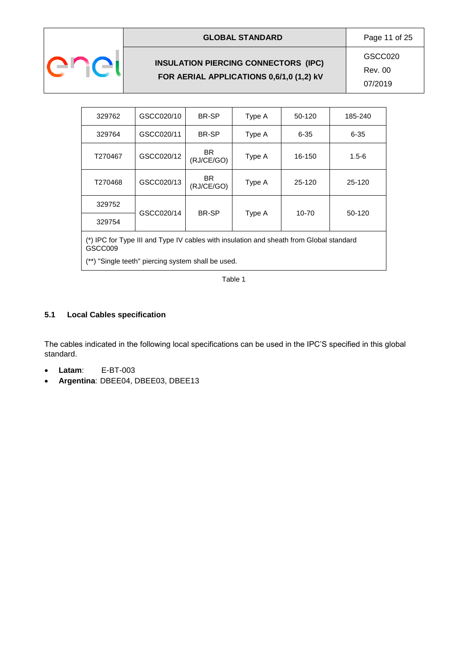

# **INSULATION PIERCING CONNECTORS (IPC) FOR AERIAL APPLICATIONS 0,6/1,0 (1,2) kV**

**GLOBAL STANDARD** Page 11 of 25 GSCC020 Rev. 00 07/2019

| 329762                                                                                             | GSCC020/10 | BR-SP             | Type A | 50-120   | 185-240   |
|----------------------------------------------------------------------------------------------------|------------|-------------------|--------|----------|-----------|
| 329764                                                                                             | GSCC020/11 | BR-SP             | Type A | $6 - 35$ | $6 - 35$  |
| T270467                                                                                            | GSCC020/12 | BR.<br>(RJ/CE/GO) | Type A | 16-150   | $1.5 - 6$ |
| T270468                                                                                            | GSCC020/13 | BR.<br>(RJ/CE/GO) | Type A | 25-120   | 25-120    |
| 329752                                                                                             |            | BR-SP             |        | 10-70    | 50-120    |
| GSCC020/14<br>Type A<br>329754                                                                     |            |                   |        |          |           |
| (*) IPC for Type III and Type IV cables with insulation and sheath from Global standard<br>GSCC009 |            |                   |        |          |           |

(\*\*) "Single teeth" piercing system shall be used.

Table 1

# <span id="page-10-0"></span>**5.1 Local Cables specification**

The cables indicated in the following local specifications can be used in the IPC'S specified in this global standard.

- **Latam**: E-BT-003
- **Argentina**: DBEE04, DBEE03, DBEE13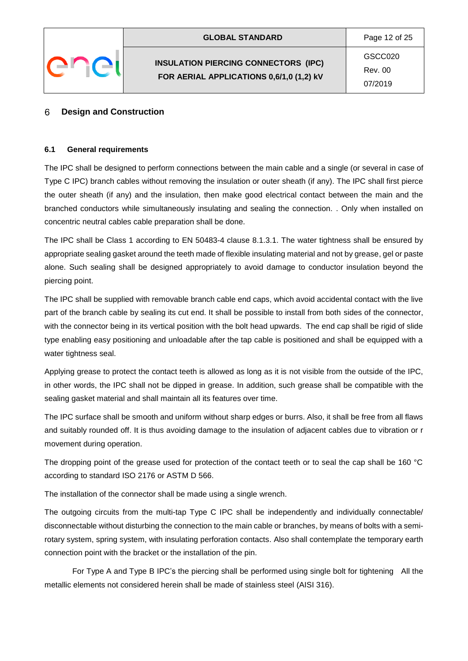#### <span id="page-11-0"></span>6 **Design and Construction**

### <span id="page-11-1"></span>**6.1 General requirements**

The IPC shall be designed to perform connections between the main cable and a single (or several in case of Type C IPC) branch cables without removing the insulation or outer sheath (if any). The IPC shall first pierce the outer sheath (if any) and the insulation, then make good electrical contact between the main and the branched conductors while simultaneously insulating and sealing the connection. . Only when installed on concentric neutral cables cable preparation shall be done.

The IPC shall be Class 1 according to EN 50483-4 clause 8.1.3.1. The water tightness shall be ensured by appropriate sealing gasket around the teeth made of flexible insulating material and not by grease, gel or paste alone. Such sealing shall be designed appropriately to avoid damage to conductor insulation beyond the piercing point.

The IPC shall be supplied with removable branch cable end caps, which avoid accidental contact with the live part of the branch cable by sealing its cut end. It shall be possible to install from both sides of the connector, with the connector being in its vertical position with the bolt head upwards. The end cap shall be rigid of slide type enabling easy positioning and unloadable after the tap cable is positioned and shall be equipped with a water tightness seal.

Applying grease to protect the contact teeth is allowed as long as it is not visible from the outside of the IPC, in other words, the IPC shall not be dipped in grease. In addition, such grease shall be compatible with the sealing gasket material and shall maintain all its features over time.

The IPC surface shall be smooth and uniform without sharp edges or burrs. Also, it shall be free from all flaws and suitably rounded off. It is thus avoiding damage to the insulation of adjacent cables due to vibration or r movement during operation.

The dropping point of the grease used for protection of the contact teeth or to seal the cap shall be 160 °C according to standard ISO 2176 or ASTM D 566.

The installation of the connector shall be made using a single wrench.

The outgoing circuits from the multi-tap Type C IPC shall be independently and individually connectable/ disconnectable without disturbing the connection to the main cable or branches, by means of bolts with a semirotary system, spring system, with insulating perforation contacts. Also shall contemplate the temporary earth connection point with the bracket or the installation of the pin.

For Type A and Type B IPC's the piercing shall be performed using single bolt for tightening All the metallic elements not considered herein shall be made of stainless steel (AISI 316).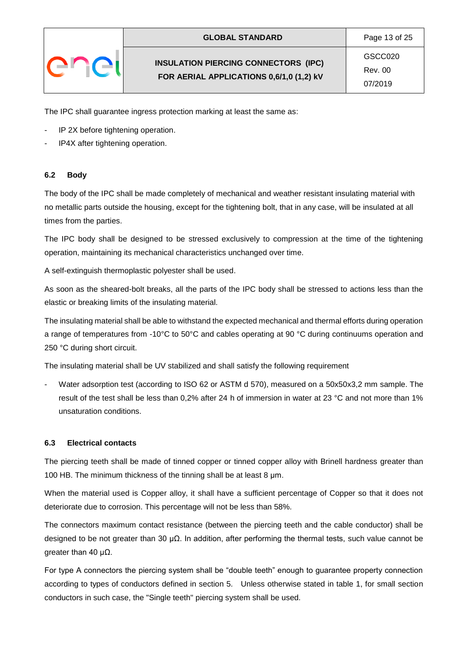The IPC shall guarantee ingress protection marking at least the same as:

- IP 2X before tightening operation.
- IP4X after tightening operation.

## <span id="page-12-0"></span>**6.2 Body**

The body of the IPC shall be made completely of mechanical and weather resistant insulating material with no metallic parts outside the housing, except for the tightening bolt, that in any case, will be insulated at all times from the parties.

The IPC body shall be designed to be stressed exclusively to compression at the time of the tightening operation, maintaining its mechanical characteristics unchanged over time.

A self-extinguish thermoplastic polyester shall be used.

As soon as the sheared-bolt breaks, all the parts of the IPC body shall be stressed to actions less than the elastic or breaking limits of the insulating material.

The insulating material shall be able to withstand the expected mechanical and thermal efforts during operation a range of temperatures from -10°C to 50°C and cables operating at 90 °C during continuums operation and 250 °C during short circuit.

The insulating material shall be UV stabilized and shall satisfy the following requirement

Water adsorption test (according to ISO 62 or ASTM d 570), measured on a 50x50x3,2 mm sample. The result of the test shall be less than 0,2% after 24 h of immersion in water at 23 °C and not more than 1% unsaturation conditions.

## <span id="page-12-1"></span>**6.3 Electrical contacts**

The piercing teeth shall be made of tinned copper or tinned copper alloy with Brinell hardness greater than 100 HB. The minimum thickness of the tinning shall be at least 8 μm.

When the material used is Copper alloy, it shall have a sufficient percentage of Copper so that it does not deteriorate due to corrosion. This percentage will not be less than 58%.

The connectors maximum contact resistance (between the piercing teeth and the cable conductor) shall be designed to be not greater than 30 μΩ. In addition, after performing the thermal tests, such value cannot be greater than 40  $\mu$ Ω.

For type A connectors the piercing system shall be "double teeth" enough to guarantee property connection according to types of conductors defined in section 5. Unless otherwise stated in table 1, for small section conductors in such case, the "Single teeth" piercing system shall be used.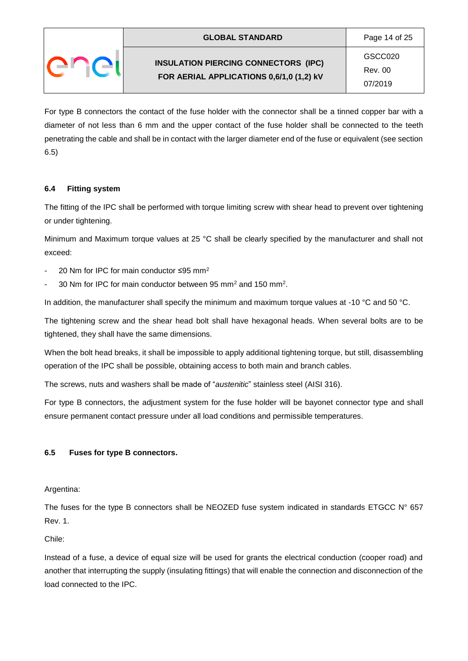For type B connectors the contact of the fuse holder with the connector shall be a tinned copper bar with a diameter of not less than 6 mm and the upper contact of the fuse holder shall be connected to the teeth penetrating the cable and shall be in contact with the larger diameter end of the fuse or equivalent (see section 6.5)

# <span id="page-13-0"></span>**6.4 Fitting system**

The fitting of the IPC shall be performed with torque limiting screw with shear head to prevent over tightening or under tightening.

Minimum and Maximum torque values at 25 °C shall be clearly specified by the manufacturer and shall not exceed:

- 20 Nm for IPC for main conductor ≤95 mm<sup>2</sup>
- 30 Nm for IPC for main conductor between 95 mm<sup>2</sup> and 150 mm<sup>2</sup>.

In addition, the manufacturer shall specify the minimum and maximum torque values at -10 °C and 50 °C.

The tightening screw and the shear head bolt shall have hexagonal heads. When several bolts are to be tightened, they shall have the same dimensions.

When the bolt head breaks, it shall be impossible to apply additional tightening torque, but still, disassembling operation of the IPC shall be possible, obtaining access to both main and branch cables.

The screws, nuts and washers shall be made of "*austenitic*" stainless steel (AISI 316).

For type B connectors, the adjustment system for the fuse holder will be bayonet connector type and shall ensure permanent contact pressure under all load conditions and permissible temperatures.

# <span id="page-13-1"></span>**6.5 Fuses for type B connectors.**

Argentina:

The fuses for the type B connectors shall be NEOZED fuse system indicated in standards ETGCC N° 657 Rev. 1.

Chile:

Instead of a fuse, a device of equal size will be used for grants the electrical conduction (cooper road) and another that interrupting the supply (insulating fittings) that will enable the connection and disconnection of the load connected to the IPC.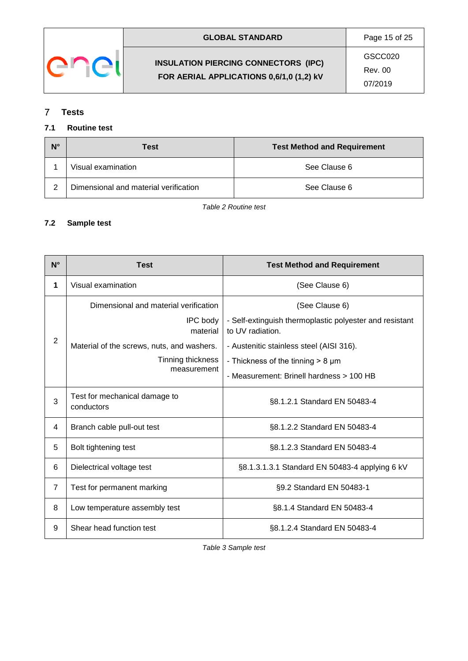

| GSCC020<br><b>INSULATION PIERCING CONNECTORS (IPC)</b><br>Rev. 00<br>FOR AERIAL APPLICATIONS 0,6/1,0 (1,2) kV | <b>GLOBAL STANDARD</b> | Page 15 of 25 |
|---------------------------------------------------------------------------------------------------------------|------------------------|---------------|
|                                                                                                               |                        | 07/2019       |

#### <span id="page-14-0"></span> $\overline{7}$ **Tests**

# <span id="page-14-1"></span>**7.1 Routine test**

| N° | Test                                  | <b>Test Method and Requirement</b> |
|----|---------------------------------------|------------------------------------|
|    | Visual examination                    | See Clause 6                       |
| ◠  | Dimensional and material verification | See Clause 6                       |

*Table 2 Routine test*

# <span id="page-14-2"></span>**7.2 Sample test**

| $N^{\circ}$    | <b>Test</b>                                 | <b>Test Method and Requirement</b>                                          |
|----------------|---------------------------------------------|-----------------------------------------------------------------------------|
| 1              | Visual examination                          | (See Clause 6)                                                              |
|                | Dimensional and material verification       | (See Clause 6)                                                              |
|                | <b>IPC</b> body<br>material                 | - Self-extinguish thermoplastic polyester and resistant<br>to UV radiation. |
| $\overline{2}$ | Material of the screws, nuts, and washers.  | - Austenitic stainless steel (AISI 316).                                    |
|                | Tinning thickness<br>measurement            | - Thickness of the tinning $> 8 \mu m$                                      |
|                |                                             | - Measurement: Brinell hardness > 100 HB                                    |
| 3              | Test for mechanical damage to<br>conductors | §8.1.2.1 Standard EN 50483-4                                                |
| 4              | Branch cable pull-out test                  | §8.1.2.2 Standard EN 50483-4                                                |
| 5              | Bolt tightening test                        | §8.1.2.3 Standard EN 50483-4                                                |
| 6              | Dielectrical voltage test                   | §8.1.3.1.3.1 Standard EN 50483-4 applying 6 kV                              |
| $\overline{7}$ | Test for permanent marking                  | §9.2 Standard EN 50483-1                                                    |
| 8              | Low temperature assembly test               | §8.1.4 Standard EN 50483-4                                                  |
| 9              | Shear head function test                    | §8.1.2.4 Standard EN 50483-4                                                |

*Table 3 Sample test*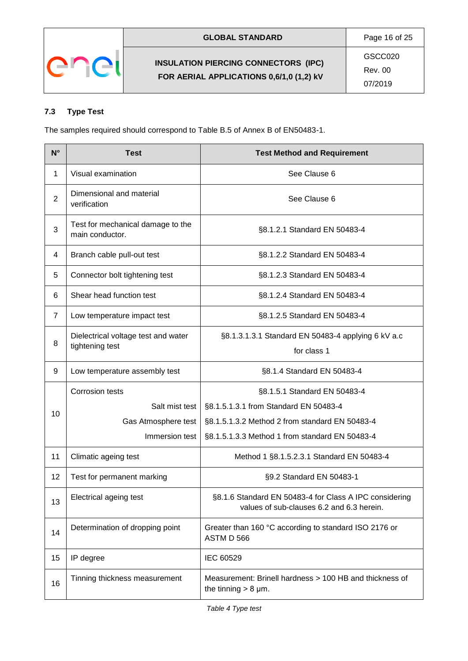

# <span id="page-15-0"></span>**7.3 Type Test**

The samples required should correspond to Table B.5 of Annex B of EN50483-1.

| $N^{\circ}$    | <b>Test</b>                                            | <b>Test Method and Requirement</b>                                                                  |
|----------------|--------------------------------------------------------|-----------------------------------------------------------------------------------------------------|
| 1              | Visual examination                                     | See Clause 6                                                                                        |
| $\overline{2}$ | Dimensional and material<br>verification               | See Clause 6                                                                                        |
| 3              | Test for mechanical damage to the<br>main conductor.   | §8.1.2.1 Standard EN 50483-4                                                                        |
| $\overline{4}$ | Branch cable pull-out test                             | §8.1.2.2 Standard EN 50483-4                                                                        |
| 5              | Connector bolt tightening test                         | §8.1.2.3 Standard EN 50483-4                                                                        |
| 6              | Shear head function test                               | §8.1.2.4 Standard EN 50483-4                                                                        |
| $\overline{7}$ | Low temperature impact test                            | §8.1.2.5 Standard EN 50483-4                                                                        |
| 8              | Dielectrical voltage test and water<br>tightening test | §8.1.3.1.3.1 Standard EN 50483-4 applying 6 kV a.c<br>for class 1                                   |
| 9              | Low temperature assembly test                          | §8.1.4 Standard EN 50483-4                                                                          |
|                | Corrosion tests                                        | §8.1.5.1 Standard EN 50483-4                                                                        |
| 10             | Salt mist test                                         | §8.1.5.1.3.1 from Standard EN 50483-4                                                               |
|                | Gas Atmosphere test                                    | §8.1.5.1.3.2 Method 2 from standard EN 50483-4                                                      |
|                | Immersion test                                         | §8.1.5.1.3.3 Method 1 from standard EN 50483-4                                                      |
| 11             | Climatic ageing test                                   | Method 1 §8.1.5.2.3.1 Standard EN 50483-4                                                           |
| 12             | Test for permanent marking                             | §9.2 Standard EN 50483-1                                                                            |
| 13             | Electrical ageing test                                 | §8.1.6 Standard EN 50483-4 for Class A IPC considering<br>values of sub-clauses 6.2 and 6.3 herein. |
| 14             | Determination of dropping point                        | Greater than 160 °C according to standard ISO 2176 or<br>ASTM D 566                                 |
| 15             | IP degree                                              | IEC 60529                                                                                           |
| 16             | Tinning thickness measurement                          | Measurement: Brinell hardness > 100 HB and thickness of<br>the tinning $> 8 \mu m$ .                |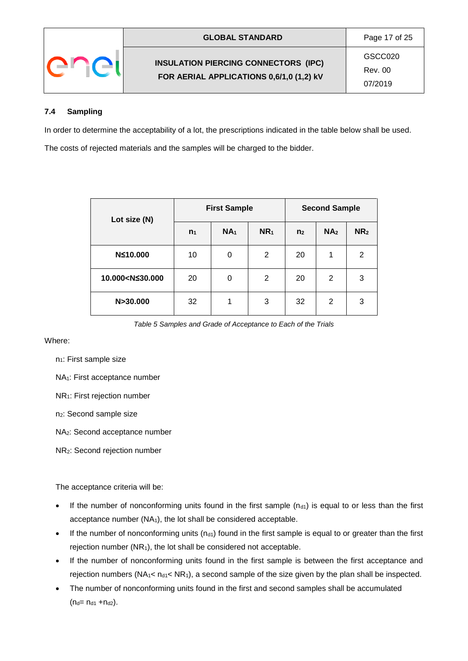

07/2019

# <span id="page-16-0"></span>**7.4 Sampling**

In order to determine the acceptability of a lot, the prescriptions indicated in the table below shall be used.

The costs of rejected materials and the samples will be charged to the bidder.

| Lot size (N)                                                                                       |       | <b>First Sample</b> |                 |                | <b>Second Sample</b> |                 |  |
|----------------------------------------------------------------------------------------------------|-------|---------------------|-----------------|----------------|----------------------|-----------------|--|
|                                                                                                    | $n_1$ | NA <sub>1</sub>     | NR <sub>1</sub> | n <sub>2</sub> | NA <sub>2</sub>      | NR <sub>2</sub> |  |
| N≤10.000                                                                                           | 10    | 0                   | 2               | 20             | 1                    | 2               |  |
| 10.000 <n≤30.000< th=""><th>20</th><th>0</th><th>2</th><th>20</th><th>2</th><th>3</th></n≤30.000<> | 20    | 0                   | 2               | 20             | 2                    | 3               |  |
| N>30.000                                                                                           | 32    | 1                   | 3               | 32             | 2                    | 3               |  |

*Table 5 Samples and Grade of Acceptance to Each of the Trials*

Where:

 $n_1$ : First sample size

NA1: First acceptance number

NR1: First rejection number

n2: Second sample size

NA2: Second acceptance number

NR2: Second rejection number

The acceptance criteria will be:

- If the number of nonconforming units found in the first sample  $(n_{d1})$  is equal to or less than the first acceptance number (NA1), the lot shall be considered acceptable.
- If the number of nonconforming units ( $n_{d1}$ ) found in the first sample is equal to or greater than the first rejection number  $(NR_1)$ , the lot shall be considered not acceptable.
- If the number of nonconforming units found in the first sample is between the first acceptance and rejection numbers ( $NA_1 < n_{d1} < NR_1$ ), a second sample of the size given by the plan shall be inspected.
- The number of nonconforming units found in the first and second samples shall be accumulated  $(n_d = n_{d1} + n_{d2}).$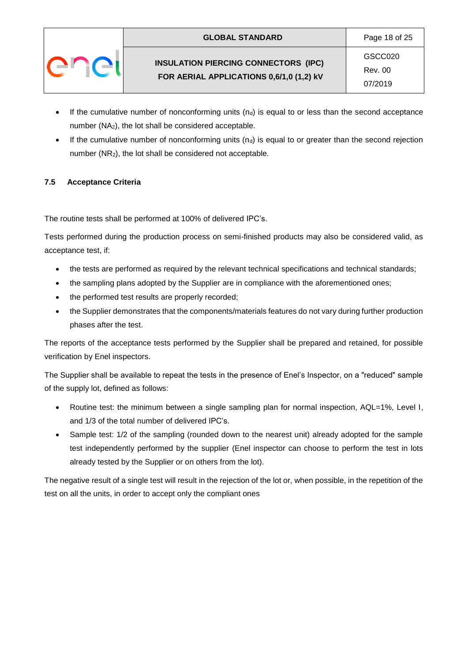- If the cumulative number of nonconforming units  $(n_d)$  is equal to or less than the second acceptance number (NA2), the lot shall be considered acceptable.
- If the cumulative number of nonconforming units  $(n_d)$  is equal to or greater than the second rejection number (NR2), the lot shall be considered not acceptable.

# <span id="page-17-0"></span>**7.5 Acceptance Criteria**

The routine tests shall be performed at 100% of delivered IPC's.

Tests performed during the production process on semi-finished products may also be considered valid, as acceptance test, if:

- the tests are performed as required by the relevant technical specifications and technical standards;
- the sampling plans adopted by the Supplier are in compliance with the aforementioned ones;
- the performed test results are properly recorded;
- the Supplier demonstrates that the components/materials features do not vary during further production phases after the test.

The reports of the acceptance tests performed by the Supplier shall be prepared and retained, for possible verification by Enel inspectors.

The Supplier shall be available to repeat the tests in the presence of Enel's Inspector, on a "reduced" sample of the supply lot, defined as follows:

- Routine test: the minimum between a single sampling plan for normal inspection, AQL=1%, Level I, and 1/3 of the total number of delivered IPC's.
- Sample test: 1/2 of the sampling (rounded down to the nearest unit) already adopted for the sample test independently performed by the supplier (Enel inspector can choose to perform the test in lots already tested by the Supplier or on others from the lot).

The negative result of a single test will result in the rejection of the lot or, when possible, in the repetition of the test on all the units, in order to accept only the compliant ones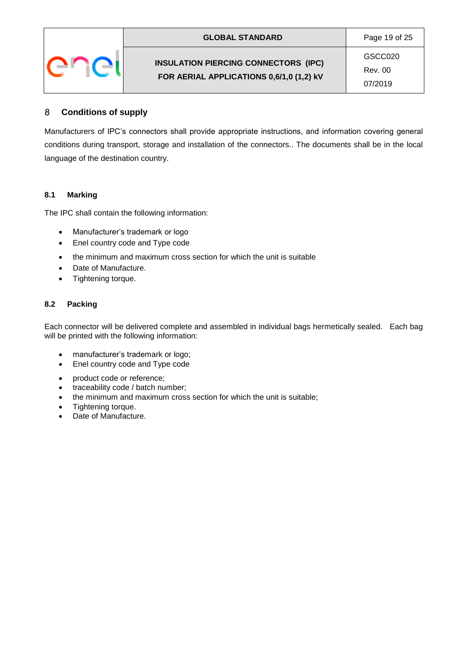| <b>GLOBAL STANDARD</b>                                                                  | Page 19 of 25                 |  |
|-----------------------------------------------------------------------------------------|-------------------------------|--|
| <b>INSULATION PIERCING CONNECTORS (IPC)</b><br>FOR AERIAL APPLICATIONS 0,6/1,0 (1,2) kV | GSCC020<br>Rev. 00<br>07/2019 |  |

#### <span id="page-18-0"></span>**Conditions of supply** 8

Manufacturers of IPC's connectors shall provide appropriate instructions, and information covering general conditions during transport, storage and installation of the connectors.. The documents shall be in the local language of the destination country.

## <span id="page-18-1"></span>**8.1 Marking**

The IPC shall contain the following information:

- Manufacturer's trademark or logo
- Enel country code and Type code
- the minimum and maximum cross section for which the unit is suitable
- Date of Manufacture.
- Tightening torque.

## <span id="page-18-2"></span>**8.2 Packing**

Each connector will be delivered complete and assembled in individual bags hermetically sealed. Each bag will be printed with the following information:

- manufacturer's trademark or logo;
- Enel country code and Type code
- product code or reference;
- traceability code / batch number;
- the minimum and maximum cross section for which the unit is suitable;
- Tightening torque.
- Date of Manufacture.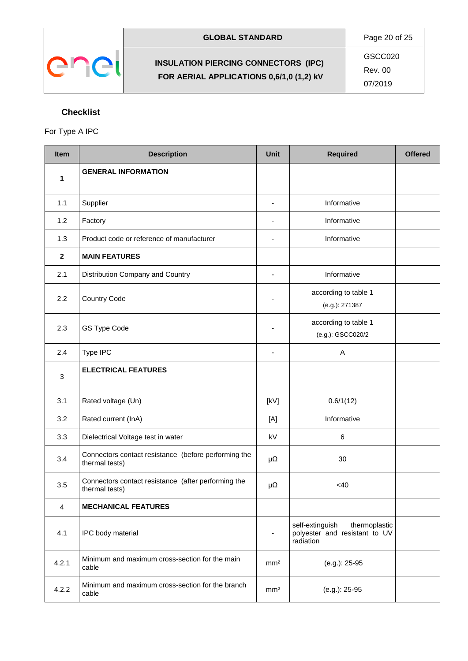

Rev. 00

07/2019

# <span id="page-19-0"></span>**Checklist**

# For Type A IPC

| <b>Item</b>  | <b>Description</b>                                                     |                          | <b>Required</b>                                                                | <b>Offered</b> |
|--------------|------------------------------------------------------------------------|--------------------------|--------------------------------------------------------------------------------|----------------|
| 1            | <b>GENERAL INFORMATION</b>                                             |                          |                                                                                |                |
| 1.1          | Supplier                                                               | $\overline{\phantom{a}}$ | Informative                                                                    |                |
| 1.2          | Factory                                                                | ۰                        | Informative                                                                    |                |
| 1.3          | Product code or reference of manufacturer                              | $\overline{\phantom{0}}$ | Informative                                                                    |                |
| $\mathbf{2}$ | <b>MAIN FEATURES</b>                                                   |                          |                                                                                |                |
| 2.1          | Distribution Company and Country                                       | $\overline{\phantom{a}}$ | Informative                                                                    |                |
| 2.2          | <b>Country Code</b>                                                    |                          | according to table 1<br>(e.g.): 271387                                         |                |
| 2.3          | GS Type Code                                                           |                          | according to table 1<br>(e.g.): GSCC020/2                                      |                |
| 2.4          | Type IPC                                                               | $\blacksquare$           | A                                                                              |                |
| 3            | <b>ELECTRICAL FEATURES</b>                                             |                          |                                                                                |                |
| 3.1          | Rated voltage (Un)                                                     | [kV]                     | 0.6/1(12)                                                                      |                |
| 3.2          | Rated current (InA)                                                    | [A]                      | Informative                                                                    |                |
| 3.3          | Dielectrical Voltage test in water                                     | kV                       | 6                                                                              |                |
| 3.4          | Connectors contact resistance (before performing the<br>thermal tests) | $\mu\Omega$              | 30                                                                             |                |
| 3.5          | Connectors contact resistance (after performing the<br>thermal tests)  | μΩ                       | <40                                                                            |                |
| 4            | <b>MECHANICAL FEATURES</b>                                             |                          |                                                                                |                |
| 4.1          | IPC body material                                                      | $\overline{\phantom{a}}$ | self-extinguish<br>thermoplastic<br>polyester and resistant to UV<br>radiation |                |
| 4.2.1        | Minimum and maximum cross-section for the main<br>cable                | mm <sup>2</sup>          | (e.g.): 25-95                                                                  |                |
| 4.2.2        | Minimum and maximum cross-section for the branch<br>cable              | mm <sup>2</sup>          | (e.g.): 25-95                                                                  |                |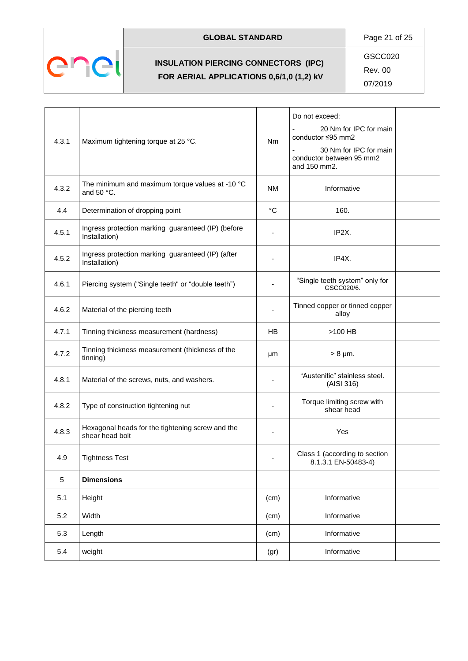

# GLOBAL STANDARD **Page 21 of 25**

**INSULATION PIERCING CONNECTORS (IPC) FOR AERIAL APPLICATIONS 0,6/1,0 (1,2) kV**

GSCC020

Rev. 00

| 4.3.1 | Maximum tightening torque at 25 °C.                                 | <b>Nm</b>    | Do not exceed:<br>20 Nm for IPC for main<br>conductor ≤95 mm2<br>30 Nm for IPC for main<br>conductor between 95 mm2<br>and 150 mm2. |
|-------|---------------------------------------------------------------------|--------------|-------------------------------------------------------------------------------------------------------------------------------------|
| 4.3.2 | The minimum and maximum torque values at -10 °C<br>and 50 °C.       | <b>NM</b>    | Informative                                                                                                                         |
| 4.4   | Determination of dropping point                                     | $^{\circ}$ C | 160.                                                                                                                                |
| 4.5.1 | Ingress protection marking guaranteed (IP) (before<br>Installation) |              | IP2X.                                                                                                                               |
| 4.5.2 | Ingress protection marking guaranteed (IP) (after<br>Installation)  |              | IP4X.                                                                                                                               |
| 4.6.1 | Piercing system ("Single teeth" or "double teeth")                  |              | "Single teeth system" only for<br>GSCC020/6.                                                                                        |
| 4.6.2 | Material of the piercing teeth                                      |              | Tinned copper or tinned copper<br>alloy                                                                                             |
| 4.7.1 | Tinning thickness measurement (hardness)                            | <b>HB</b>    | >100 HB                                                                                                                             |
| 4.7.2 | Tinning thickness measurement (thickness of the<br>tinning)         | μm           | $> 8 \mu m$ .                                                                                                                       |
| 4.8.1 | Material of the screws, nuts, and washers.                          |              | "Austenitic" stainless steel.<br>(AISI 316)                                                                                         |
| 4.8.2 | Type of construction tightening nut                                 |              | Torque limiting screw with<br>shear head                                                                                            |
| 4.8.3 | Hexagonal heads for the tightening screw and the<br>shear head bolt |              | Yes                                                                                                                                 |
| 4.9   | <b>Tightness Test</b>                                               |              | Class 1 (according to section<br>8.1.3.1 EN-50483-4)                                                                                |
| 5     | <b>Dimensions</b>                                                   |              |                                                                                                                                     |
| 5.1   | Height                                                              | (cm)         | Informative                                                                                                                         |
| 5.2   | Width                                                               | (cm)         | Informative                                                                                                                         |
| 5.3   | Length                                                              | (cm)         | Informative                                                                                                                         |
| 5.4   | weight                                                              | (gr)         | Informative                                                                                                                         |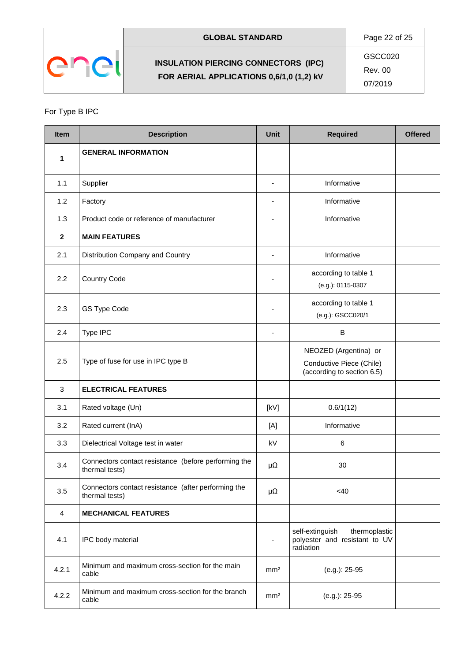

**GLOBAL STANDARD** Page 22 of 25

GSCC020

Rev. 00

07/2019

# For Type B IPC

| <b>Item</b>    | <b>Description</b>                                                     |                          | <b>Required</b>                                                                 | <b>Offered</b> |
|----------------|------------------------------------------------------------------------|--------------------------|---------------------------------------------------------------------------------|----------------|
| 1              | <b>GENERAL INFORMATION</b>                                             |                          |                                                                                 |                |
| 1.1            | Supplier                                                               | $\blacksquare$           | Informative                                                                     |                |
| 1.2            | Factory                                                                | $\overline{a}$           | Informative                                                                     |                |
| 1.3            | Product code or reference of manufacturer                              | $\blacksquare$           | Informative                                                                     |                |
| $\mathbf{2}$   | <b>MAIN FEATURES</b>                                                   |                          |                                                                                 |                |
| 2.1            | Distribution Company and Country                                       | $\overline{\phantom{a}}$ | Informative                                                                     |                |
| 2.2            | <b>Country Code</b>                                                    | $\overline{\phantom{a}}$ | according to table 1<br>(e.g.): 0115-0307                                       |                |
| 2.3            | GS Type Code                                                           | $\overline{a}$           | according to table 1<br>(e.g.): GSCC020/1                                       |                |
| 2.4            | Type IPC                                                               | $\overline{\phantom{a}}$ | B                                                                               |                |
| 2.5            | Type of fuse for use in IPC type B                                     |                          | NEOZED (Argentina) or<br>Conductive Piece (Chile)<br>(according to section 6.5) |                |
| 3              | <b>ELECTRICAL FEATURES</b>                                             |                          |                                                                                 |                |
| 3.1            | Rated voltage (Un)                                                     | [KV]                     | 0.6/1(12)                                                                       |                |
| 3.2            | Rated current (InA)                                                    | [A]                      | Informative                                                                     |                |
| 3.3            | Dielectrical Voltage test in water                                     | kV                       | 6                                                                               |                |
| 3.4            | Connectors contact resistance (before performing the<br>thermal tests) | μΩ                       | 30                                                                              |                |
| 3.5            | Connectors contact resistance (after performing the<br>thermal tests)  | μΩ                       | $<$ 40                                                                          |                |
| $\overline{4}$ | <b>MECHANICAL FEATURES</b>                                             |                          |                                                                                 |                |
| 4.1            | IPC body material                                                      | $\blacksquare$           | self-extinguish<br>thermoplastic<br>polyester and resistant to UV<br>radiation  |                |
| 4.2.1          | Minimum and maximum cross-section for the main<br>cable                | mm <sup>2</sup>          | (e.g.): 25-95                                                                   |                |
| 4.2.2          | Minimum and maximum cross-section for the branch<br>cable              | mm <sup>2</sup>          | (e.g.): 25-95                                                                   |                |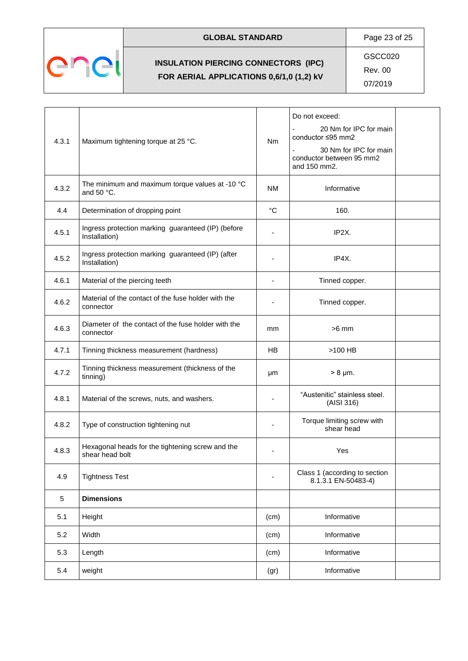

# **GLOBAL STANDARD** Page 23 of 25

**INSULATION PIERCING CONNECTORS (IPC) FOR AERIAL APPLICATIONS 0,6/1,0 (1,2) kV**

GSCC020

Rev. 00

| 4.3.1 | Maximum tightening torque at 25 °C.                                 |           | Do not exceed:<br>20 Nm for IPC for main<br>conductor ≤95 mm2<br>30 Nm for IPC for main<br>conductor between 95 mm2<br>and 150 mm2. |
|-------|---------------------------------------------------------------------|-----------|-------------------------------------------------------------------------------------------------------------------------------------|
| 4.3.2 | The minimum and maximum torque values at -10 °C<br>and 50 $°C$ .    | <b>NM</b> | Informative                                                                                                                         |
| 4.4   | Determination of dropping point                                     | °C        | 160.                                                                                                                                |
| 4.5.1 | Ingress protection marking guaranteed (IP) (before<br>Installation) |           | IP2X.                                                                                                                               |
| 4.5.2 | Ingress protection marking guaranteed (IP) (after<br>Installation)  |           | IP4X.                                                                                                                               |
| 4.6.1 | Material of the piercing teeth                                      | ÷,        | Tinned copper.                                                                                                                      |
| 4.6.2 | Material of the contact of the fuse holder with the<br>connector    |           | Tinned copper.                                                                                                                      |
| 4.6.3 | Diameter of the contact of the fuse holder with the<br>connector    | mm        | $>6$ mm                                                                                                                             |
| 4.7.1 | Tinning thickness measurement (hardness)                            | HB.       | >100 HB                                                                                                                             |
| 4.7.2 | Tinning thickness measurement (thickness of the<br>tinning)         | μm        | $> 8 \mu m$ .                                                                                                                       |
| 4.8.1 | Material of the screws, nuts, and washers.                          |           | "Austenitic" stainless steel.<br>(AISI 316)                                                                                         |
| 4.8.2 | Type of construction tightening nut                                 |           | Torque limiting screw with<br>shear head                                                                                            |
| 4.8.3 | Hexagonal heads for the tightening screw and the<br>shear head bolt |           | Yes                                                                                                                                 |
| 4.9   | <b>Tightness Test</b>                                               |           | Class 1 (according to section<br>8.1.3.1 EN-50483-4)                                                                                |
| 5     | <b>Dimensions</b>                                                   |           |                                                                                                                                     |
| 5.1   | Height                                                              | (cm)      | Informative                                                                                                                         |
| 5.2   | Width                                                               | (cm)      | Informative                                                                                                                         |
| 5.3   | Length                                                              | (cm)      | Informative                                                                                                                         |
| 5.4   | weight                                                              | (gr)      | Informative                                                                                                                         |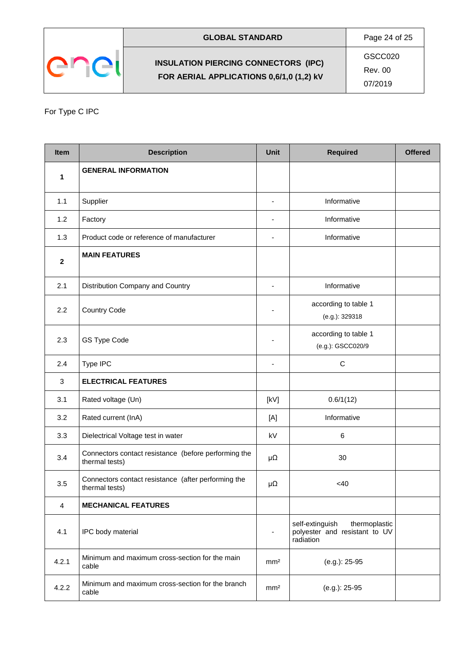

Rev. 00

07/2019

# For Type C IPC

| <b>Item</b>  | <b>Description</b>                                                     |                          | <b>Required</b>                                                                | <b>Offered</b> |
|--------------|------------------------------------------------------------------------|--------------------------|--------------------------------------------------------------------------------|----------------|
| 1            | <b>GENERAL INFORMATION</b>                                             |                          |                                                                                |                |
| 1.1          | Supplier                                                               | ٠                        | Informative                                                                    |                |
| 1.2          | Factory                                                                | ÷,                       | Informative                                                                    |                |
| 1.3          | Product code or reference of manufacturer                              |                          | Informative                                                                    |                |
| $\mathbf{2}$ | <b>MAIN FEATURES</b>                                                   |                          |                                                                                |                |
| 2.1          | Distribution Company and Country                                       | ÷,                       | Informative                                                                    |                |
| 2.2          | <b>Country Code</b>                                                    |                          | according to table 1<br>(e.g.): 329318                                         |                |
| 2.3          | GS Type Code                                                           | ٠                        | according to table 1<br>(e.g.): GSCC020/9                                      |                |
| 2.4          | Type IPC                                                               |                          | $\mathsf C$                                                                    |                |
| 3            | <b>ELECTRICAL FEATURES</b>                                             |                          |                                                                                |                |
| 3.1          | Rated voltage (Un)                                                     | [KV]                     | 0.6/1(12)                                                                      |                |
| 3.2          | Rated current (InA)                                                    | [A]                      | Informative                                                                    |                |
| 3.3          | Dielectrical Voltage test in water                                     | kV                       | 6                                                                              |                |
| 3.4          | Connectors contact resistance (before performing the<br>thermal tests) | $\mu\Omega$              | 30                                                                             |                |
| 3.5          | Connectors contact resistance (after performing the<br>thermal tests)  | μΩ                       | <40                                                                            |                |
| 4            | <b>MECHANICAL FEATURES</b>                                             |                          |                                                                                |                |
| 4.1          | IPC body material                                                      | $\overline{\phantom{a}}$ | self-extinguish<br>thermoplastic<br>polyester and resistant to UV<br>radiation |                |
| 4.2.1        | Minimum and maximum cross-section for the main<br>cable                | mm <sup>2</sup>          | (e.g.): 25-95                                                                  |                |
| 4.2.2        | Minimum and maximum cross-section for the branch<br>cable              | mm <sup>2</sup>          | (e.g.): 25-95                                                                  |                |